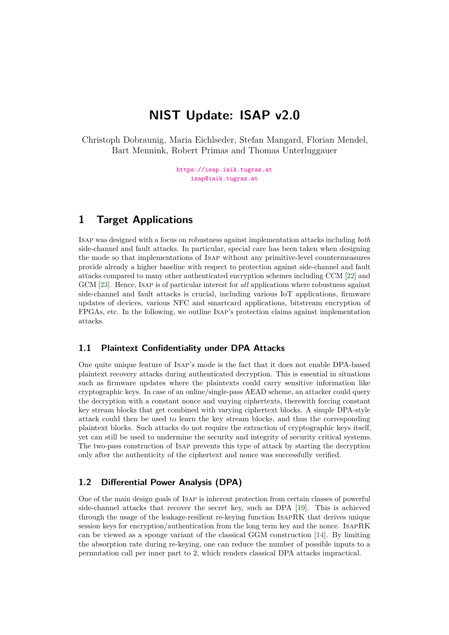# **NIST Update: ISAP v2.0**

Christoph Dobraunig, Maria Eichlseder, Stefan Mangard, Florian Mendel, Bart Mennink, Robert Primas and Thomas Unterluggauer

> <https://isap.iaik.tugraz.at> [isap@iaik.tugraz.at](mailto:isap@iaik.tugraz.at)

# **1 Target Applications**

Isap was designed with a focus on robustness against implementation attacks including *both*  side-channel and fault attacks. In particular, special care has been taken when designing the mode so that implementations of Isap without any primitive-level countermeasures provide already a higher baseline with respect to protection against side-channel and fault attacks compared to many other authenticated encryption schemes including CCM [\[22\]](#page-5-0) and GCM [\[23\]](#page-5-1). Hence, Isap is of particular interest for *all* applications where robustness against side-channel and fault attacks is crucial, including various IoT applications, frmware updates of devices, various NFC and smartcard applications, bitstream encryption of FPGAs, etc. In the following, we outline Isap's protection claims against implementation attacks.

### **1.1 Plaintext Confidentiality under DPA Attacks**

One quite unique feature of Isap's mode is the fact that it does not enable DPA-based plaintext recovery attacks during authenticated decryption. This is essential in situations such as frmware updates where the plaintexts could carry sensitive information like cryptographic keys. In case of an online/single-pass AEAD scheme, an attacker could query the decryption with a constant nonce and varying ciphertexts, therewith forcing constant key stream blocks that get combined with varying ciphertext blocks. A simple DPA-style attack could then be used to learn the key stream blocks, and thus the corresponding plaintext blocks. Such attacks do not require the extraction of cryptographic keys itself, yet can still be used to undermine the security and integrity of security critical systems. The two-pass construction of Isap prevents this type of attack by starting the decryption only after the authenticity of the ciphertext and nonce was successfully verifed.

### **1.2 Differential Power Analysis (DPA)**

One of the main design goals of Isap is inherent protection from certain classes of powerful side-channel attacks that recover the secret key, such as DPA [\[19\]](#page-5-2). This is achieved through the usage of the leakage-resilient re-keying function IsapRK that derives unique session keys for encryption/authentication from the long term key and the nonce. IsapRK can be viewed as a sponge variant of the classical GGM construction [\[14\]](#page-4-0). By limiting the absorption rate during re-keying, one can reduce the number of possible inputs to a permutation call per inner part to 2, which renders classical DPA attacks impractical.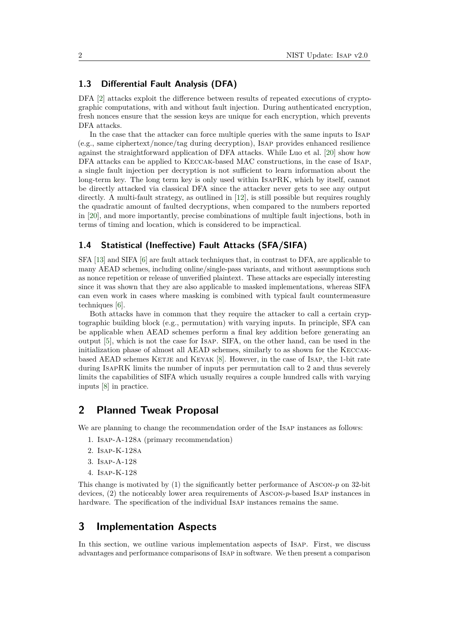### **1.3 Differential Fault Analysis (DFA)**

DFA [\[2\]](#page-4-1) attacks exploit the difference between results of repeated executions of cryptographic computations, with and without fault injection. During authenticated encryption, fresh nonces ensure that the session keys are unique for each encryption, which prevents DFA attacks.

In the case that the attacker can force multiple queries with the same inputs to Isap (e.g., same ciphertext/nonce/tag during decryption), Isap provides enhanced resilience against the straightforward application of DFA attacks. While Luo et al. [\[20\]](#page-5-3) show how DFA attacks can be applied to Keccak-based MAC constructions, in the case of Isap, a single fault injection per decryption is not sufficient to learn information about the long-term key. The long term key is only used within IsapRK, which by itself, cannot be directly attacked via classical DFA since the attacker never gets to see any output directly. A multi-fault strategy, as outlined in [\[12\]](#page-4-2), is still possible but requires roughly the quadratic amount of faulted decryptions, when compared to the numbers reported in [\[20\]](#page-5-3), and more importantly, precise combinations of multiple fault injections, both in terms of timing and location, which is considered to be impractical.

### 1.4 Statistical (Ineffective) Fault Attacks (SFA/SIFA)

SFA [\[13\]](#page-4-3) and SIFA [\[6\]](#page-4-4) are fault attack techniques that, in contrast to DFA, are applicable to many AEAD schemes, including online/single-pass variants, and without assumptions such as nonce repetition or release of unverifed plaintext. These attacks are especially interesting since it was shown that they are also applicable to masked implementations, whereas SIFA can even work in cases where masking is combined with typical fault countermeasure techniques [\[6\]](#page-4-4).

Both attacks have in common that they require the attacker to call a certain cryptographic building block (e.g., permutation) with varying inputs. In principle, SFA can be applicable when AEAD schemes perform a fnal key addition before generating an output [\[5\]](#page-4-5), which is not the case for Isap. SIFA, on the other hand, can be used in the initialization phase of almost all AEAD schemes, similarly to as shown for the Keccak-based AEAD schemes KETJE and KEYAK [\[8\]](#page-4-6). However, in the case of ISAP, the 1-bit rate during IsapRK limits the number of inputs per permutation call to 2 and thus severely limits the capabilities of SIFA which usually requires a couple hundred calls with varying inputs [\[8\]](#page-4-6) in practice.

# **2 Planned Tweak Proposal**

We are planning to change the recommendation order of the Isap instances as follows:

- 1. Isap-A-128a (primary recommendation)
- 2. Isap-K-128a
- 3. Isap-A-128
- 4. Isap-K-128

This change is motivated by (1) the signifcantly better performance of Ascon-*p* on 32-bit devices, (2) the noticeably lower area requirements of Ascon-*p*-based Isap instances in hardware. The specifcation of the individual Isap instances remains the same.

# **3 Implementation Aspects**

In this section, we outline various implementation aspects of Isap. First, we discuss advantages and performance comparisons of Isap in software. We then present a comparison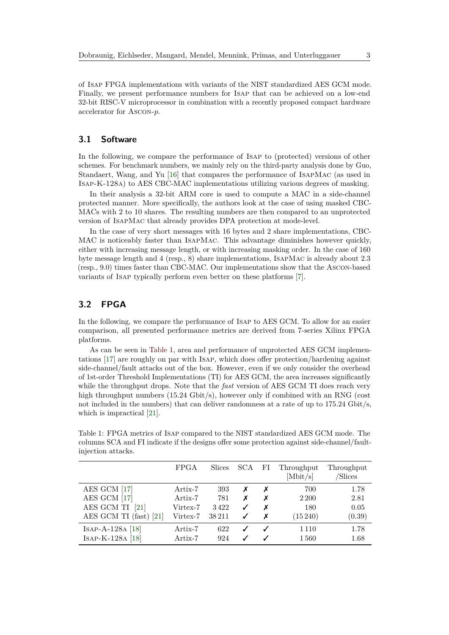of Isap FPGA implementations with variants of the NIST standardized AES GCM mode. Finally, we present performance numbers for Isap that can be achieved on a low-end 32-bit RISC-V microprocessor in combination with a recently proposed compact hardware accelerator for Ascon-*p*.

#### **3.1 Software**

In the following, we compare the performance of Isap to (protected) versions of other schemes. For benchmark numbers, we mainly rely on the third-party analysis done by Guo, Standaert, Wang, and Yu [\[16\]](#page-5-4) that compares the performance of IsapMac (as used in Isap-K-128a) to AES CBC-MAC implementations utilizing various degrees of masking.

In their analysis a 32-bit ARM core is used to compute a MAC in a side-channel protected manner. More specifcally, the authors look at the case of using masked CBC-MACs with 2 to 10 shares. The resulting numbers are then compared to an unprotected version of IsapMac that already provides DPA protection at mode-level.

In the case of very short messages with 16 bytes and 2 share implementations, CBC-MAC is noticeably faster than IsapMac. This advantage diminishes however quickly, either with increasing message length, or with increasing masking order. In the case of 160 byte message length and 4 (resp., 8) share implementations, IsapMac is already about 2.3 (resp., 9.0) times faster than CBC-MAC. Our implementations show that the Ascon-based variants of Isap typically perform even better on these platforms [\[7\]](#page-4-7).

### **3.2 FPGA**

In the following, we compare the performance of Isap to AES GCM. To allow for an easier comparison, all presented performance metrics are derived from 7-series Xilinx FPGA platforms.

As can be seen in [Table 1,](#page-2-0) area and performance of unprotected AES GCM implementations  $[17]$  are roughly on par with ISAP, which does offer protection/hardening against side-channel/fault attacks out of the box. However, even if we only consider the overhead of 1st-order Threshold Implementations (TI) for AES GCM, the area increases signifcantly while the throughput drops. Note that the *fast* version of AES GCM TI does reach very high throughput numbers (15.24 Gbit/s), however only if combined with an RNG (cost not included in the numbers) that can deliver randomness at a rate of up to 175.24 Gbit/s, which is impractical [\[21\]](#page-5-6).

|                          | <b>FPGA</b> | <b>Slices</b> | <b>SCA</b> | FI | Throughput<br>$[{\rm Mbit/s}]$ | Throughput<br>/Slices |
|--------------------------|-------------|---------------|------------|----|--------------------------------|-----------------------|
| AES GCM [17]             | Artix-7     | 393           | х          | Х  | 700                            | 1.78                  |
| AES GCM [17]             | Artix-7     | 781           | х          | X  | 2 2 0 0                        | 2.81                  |
| AES GCM TI [21]          | Virtex-7    | 3422          |            | х  | 180                            | 0.05                  |
| AES GCM TI $(fast)$ [21] | Virtex-7    | 38211         |            |    | $(15\,240)$                    | (0.39)                |
| ISAP-A-128A [18]         | Artix-7     | 622           |            |    | 1 1 1 0                        | 1.78                  |
| ISAP-K-128A [18]         | Artix-7     | 924           |            |    | 1560                           | 1.68                  |

<span id="page-2-0"></span>Table 1: FPGA metrics of Isap compared to the NIST standardized AES GCM mode. The columns SCA and FI indicate if the designs offer some protection against side-channel/faultinjection attacks.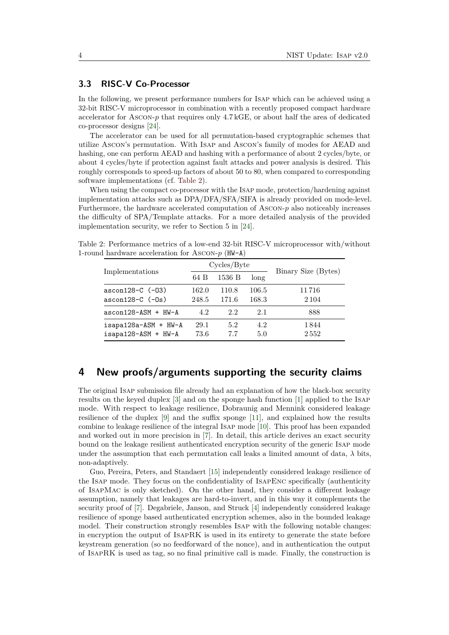#### **3.3 RISC-V Co-Processor**

In the following, we present performance numbers for Isap which can be achieved using a 32-bit RISC-V microprocessor in combination with a recently proposed compact hardware accelerator for Ascon-*p* that requires only 4.7 kGE, or about half the area of dedicated co-processor designs [\[24\]](#page-5-8).

The accelerator can be used for all permutation-based cryptographic schemes that utilize Ascon's permutation. With Isap and Ascon's family of modes for AEAD and hashing, one can perform AEAD and hashing with a performance of about 2 cycles/byte, or about 4 cycles/byte if protection against fault attacks and power analysis is desired. This roughly corresponds to speed-up factors of about 50 to 80, when compared to corresponding software implementations (cf. [Table 2\)](#page-3-0).

When using the compact co-processor with the Isap mode, protection/hardening against implementation attacks such as DPA/DFA/SFA/SIFA is already provided on mode-level. Furthermore, the hardware accelerated computation of Ascon-*p* also noticeably increases the difficulty of SPA/Template attacks. For a more detailed analysis of the provided implementation security, we refer to Section 5 in [\[24\]](#page-5-8).

<span id="page-3-0"></span>Table 2: Performance metrics of a low-end 32-bit RISC-V microprocessor with/without 1-round hardware acceleration for Ascon-*p* (HW-A)

|                       |       | Cycles/Byte | Binary Size (Bytes) |         |
|-----------------------|-------|-------------|---------------------|---------|
| Implementations       | 64 B  | 1536 B      | long                |         |
| $ascon128-C$ $(-03)$  | 162.0 | 110.8       | 106.5               | 11 716  |
| $ascon128-C$ $(-0s)$  | 248.5 | 171.6       | 168.3               | 2 1 0 4 |
| $ascon128-ASM + HW-A$ | 4.2   | 2.2         | 2.1                 | 888     |
| isapa128a-ASM + HW-A  | 29.1  | 5.2         | 4.2                 | 1 844   |
| isapa128-ASM + HW-A   | 73.6  | 77          | 5.0                 | 2552    |

## **4 New proofs/arguments supporting the security claims**

The original Isap submission fle already had an explanation of how the black-box security results on the keyed duplex [\[3\]](#page-4-8) and on the sponge hash function [\[1\]](#page-4-9) applied to the Isap mode. With respect to leakage resilience, Dobraunig and Mennink considered leakage resilience of the duplex  $[9]$  and the suffix sponge  $[11]$ , and explained how the results combine to leakage resilience of the integral Isap mode [\[10\]](#page-4-12). This proof has been expanded and worked out in more precision in [\[7\]](#page-4-7). In detail, this article derives an exact security bound on the leakage resilient authenticated encryption security of the generic Isap mode under the assumption that each permutation call leaks a limited amount of data,  $\lambda$  bits, non-adaptively.

Guo, Pereira, Peters, and Standaert [\[15\]](#page-5-9) independently considered leakage resilience of the Isap mode. They focus on the confdentiality of IsapEnc specifcally (authenticity of IsapMac is only sketched). On the other hand, they consider a different leakage assumption, namely that leakages are hard-to-invert, and in this way it complements the security proof of [\[7\]](#page-4-7). Degabriele, Janson, and Struck [\[4\]](#page-4-13) independently considered leakage resilience of sponge based authenticated encryption schemes, also in the bounded leakage model. Their construction strongly resembles Isap with the following notable changes: in encryption the output of IsapRK is used in its entirety to generate the state before keystream generation (so no feedforward of the nonce), and in authentication the output of IsapRK is used as tag, so no fnal primitive call is made. Finally, the construction is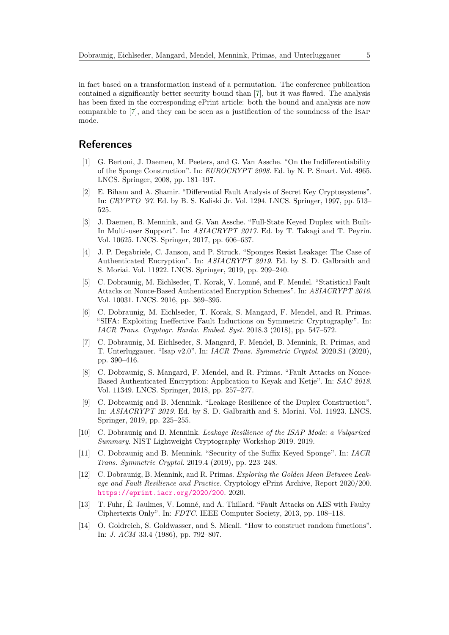in fact based on a transformation instead of a permutation. The conference publication contained a signifcantly better security bound than [\[7\]](#page-4-7), but it was fawed. The analysis has been fxed in the corresponding ePrint article: both the bound and analysis are now comparable to [\[7\]](#page-4-7), and they can be seen as a justifcation of the soundness of the Isap mode.

# **References**

- <span id="page-4-9"></span>[1] G. Bertoni, J. Daemen, M. Peeters, and G. Van Assche. "On the Indifferentiability of the Sponge Construction". In: *EUROCRYPT 2008*. Ed. by N. P. Smart. Vol. 4965. LNCS. Springer, 2008, pp. 181–197.
- <span id="page-4-1"></span>E. Biham and A. Shamir. "Differential Fault Analysis of Secret Key Cryptosystems". In: *CRYPTO '97*. Ed. by B. S. Kaliski Jr. Vol. 1294. LNCS. Springer, 1997, pp. 513– 525.
- <span id="page-4-8"></span>[3] J. Daemen, B. Mennink, and G. Van Assche. "Full-State Keyed Duplex with Built-In Multi-user Support". In: *ASIACRYPT 2017*. Ed. by T. Takagi and T. Peyrin. Vol. 10625. LNCS. Springer, 2017, pp. 606–637.
- <span id="page-4-13"></span>[4] J. P. Degabriele, C. Janson, and P. Struck. "Sponges Resist Leakage: The Case of Authenticated Encryption". In: *ASIACRYPT 2019*. Ed. by S. D. Galbraith and S. Moriai. Vol. 11922. LNCS. Springer, 2019, pp. 209–240.
- <span id="page-4-5"></span>[5] C. Dobraunig, M. Eichlseder, T. Korak, V. Lomné, and F. Mendel. "Statistical Fault Attacks on Nonce-Based Authenticated Encryption Schemes". In: *ASIACRYPT 2016*. Vol. 10031. LNCS. 2016, pp. 369–395.
- <span id="page-4-4"></span>[6] C. Dobraunig, M. Eichlseder, T. Korak, S. Mangard, F. Mendel, and R. Primas. "SIFA: Exploiting Ineffective Fault Inductions on Symmetric Cryptography". In: *IACR Trans. Cryptogr. Hardw. Embed. Syst.* 2018.3 (2018), pp. 547–572.
- <span id="page-4-7"></span>[7] C. Dobraunig, M. Eichlseder, S. Mangard, F. Mendel, B. Mennink, R. Primas, and T. Unterluggauer. "Isap v2.0". In: *IACR Trans. Symmetric Cryptol.* 2020.S1 (2020), pp. 390–416.
- <span id="page-4-6"></span>[8] C. Dobraunig, S. Mangard, F. Mendel, and R. Primas. "Fault Attacks on Nonce-Based Authenticated Encryption: Application to Keyak and Ketje". In: *SAC 2018*. Vol. 11349. LNCS. Springer, 2018, pp. 257–277.
- <span id="page-4-10"></span>[9] C. Dobraunig and B. Mennink. "Leakage Resilience of the Duplex Construction". In: *ASIACRYPT 2019*. Ed. by S. D. Galbraith and S. Moriai. Vol. 11923. LNCS. Springer, 2019, pp. 225–255.
- <span id="page-4-12"></span>[10] C. Dobraunig and B. Mennink. *Leakage Resilience of the ISAP Mode: a Vulgarized Summary*. NIST Lightweight Cryptography Workshop 2019. 2019.
- <span id="page-4-11"></span>[11] C. Dobraunig and B. Mennink. "Security of the Suffix Keyed Sponge". In: *IACR Trans. Symmetric Cryptol.* 2019.4 (2019), pp. 223–248.
- <span id="page-4-2"></span>[12] C. Dobraunig, B. Mennink, and R. Primas. *Exploring the Golden Mean Between Leakage and Fault Resilience and Practice*. Cryptology ePrint Archive, Report 2020/200. <https://eprint.iacr.org/2020/200>. 2020.
- <span id="page-4-3"></span>[13] T. Fuhr, É. Jaulmes, V. Lomné, and A. Thillard. "Fault Attacks on AES with Faulty Ciphertexts Only". In: *FDTC*. IEEE Computer Society, 2013, pp. 108–118.
- <span id="page-4-0"></span>[14] O. Goldreich, S. Goldwasser, and S. Micali. "How to construct random functions". In: *J. ACM* 33.4 (1986), pp. 792–807.